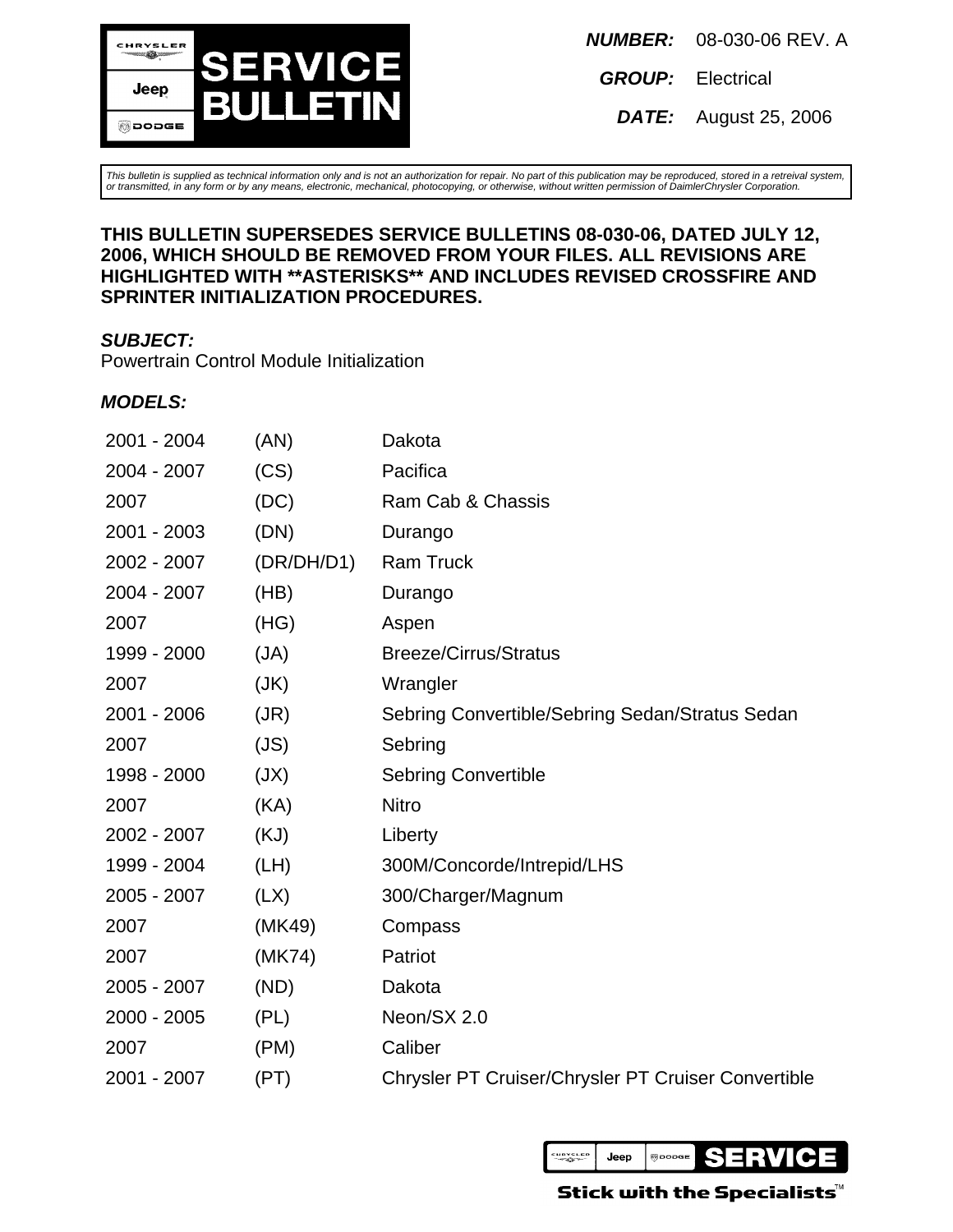

**NUMBER:** 08-030-06 REV. A

**GROUP:** Electrical

**DATE:** August 25, 2006

This bulletin is supplied as technical information only and is not an authorization for repair. No part of this publication may be reproduced, stored in a retreival system, or transmitted, in any form or by any means, electronic, mechanical, photocopying, or otherwise, without written permission of DaimlerChrysler Corporation.

## **THIS BULLETIN SUPERSEDES SERVICE BULLETINS 08-030-06, DATED JULY 12, 2006, WHICH SHOULD BE REMOVED FROM YOUR FILES. ALL REVISIONS ARE HIGHLIGHTED WITH \*\*ASTERISKS\*\* AND INCLUDES REVISED CROSSFIRE AND SPRINTER INITIALIZATION PROCEDURES.**

# **SUBJECT:**

Powertrain Control Module Initialization

## **MODELS:**

| 2001 - 2004 | (AN)       | Dakota                                              |
|-------------|------------|-----------------------------------------------------|
| 2004 - 2007 | (CS)       | Pacifica                                            |
| 2007        | (DC)       | Ram Cab & Chassis                                   |
| 2001 - 2003 | (DN)       | Durango                                             |
| 2002 - 2007 | (DR/DH/D1) | <b>Ram Truck</b>                                    |
| 2004 - 2007 | (HB)       | Durango                                             |
| 2007        | (HG)       | Aspen                                               |
| 1999 - 2000 | (JA)       | <b>Breeze/Cirrus/Stratus</b>                        |
| 2007        | (JK)       | Wrangler                                            |
| 2001 - 2006 | (JR)       | Sebring Convertible/Sebring Sedan/Stratus Sedan     |
| 2007        | (JS)       | Sebring                                             |
| 1998 - 2000 | (JX)       | <b>Sebring Convertible</b>                          |
| 2007        | (KA)       | <b>Nitro</b>                                        |
| 2002 - 2007 | (KJ)       | Liberty                                             |
| 1999 - 2004 | (LH)       | 300M/Concorde/Intrepid/LHS                          |
| 2005 - 2007 | (LX)       | 300/Charger/Magnum                                  |
| 2007        | (MK49)     | Compass                                             |
| 2007        | (MK74)     | Patriot                                             |
| 2005 - 2007 | (ND)       | Dakota                                              |
| 2000 - 2005 | (PL)       | Neon/SX 2.0                                         |
| 2007        | (PM)       | Caliber                                             |
| 2001 - 2007 | (PT)       | Chrysler PT Cruiser/Chrysler PT Cruiser Convertible |

CHRYSLER<br>TIMOT Jeep **ODOOE** SERVIC

Stick with the Specialists™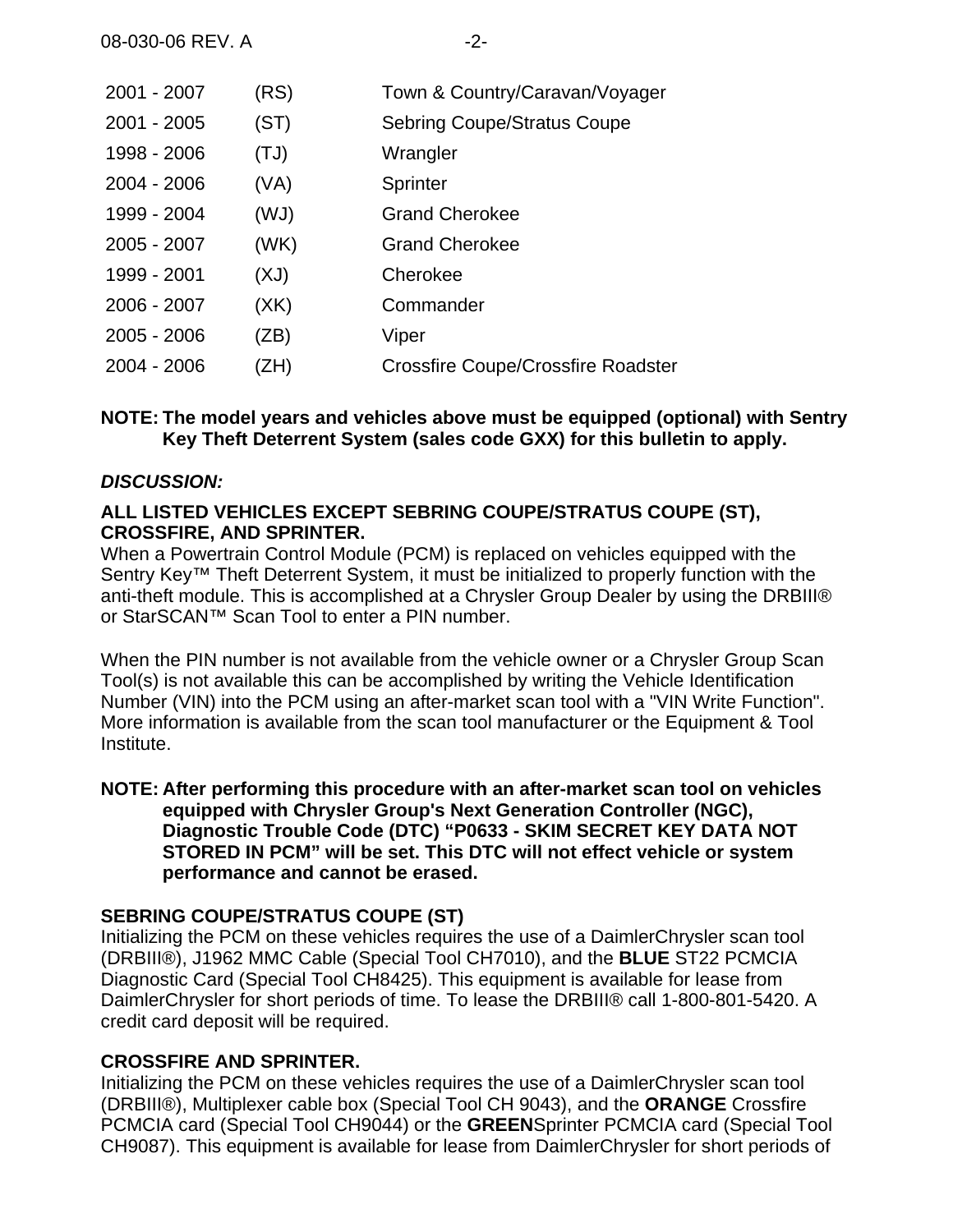| 2001 - 2007 | (RS) | Town & Country/Caravan/Voyager            |
|-------------|------|-------------------------------------------|
| 2001 - 2005 | (ST) | <b>Sebring Coupe/Stratus Coupe</b>        |
| 1998 - 2006 | (TJ) | Wrangler                                  |
| 2004 - 2006 | (VA) | Sprinter                                  |
| 1999 - 2004 | (WJ) | <b>Grand Cherokee</b>                     |
| 2005 - 2007 | (WK) | <b>Grand Cherokee</b>                     |
| 1999 - 2001 | (XJ) | Cherokee                                  |
| 2006 - 2007 | (XK) | Commander                                 |
| 2005 - 2006 | (ZB) | Viper                                     |
| 2004 - 2006 | ZH)  | <b>Crossfire Coupe/Crossfire Roadster</b> |

## **NOTE: The model years and vehicles above must be equipped (optional) with Sentry Key Theft Deterrent System (sales code GXX) for this bulletin to apply.**

## **DISCUSSION:**

## **ALL LISTED VEHICLES EXCEPT SEBRING COUPE/STRATUS COUPE (ST), CROSSFIRE, AND SPRINTER.**

When a Powertrain Control Module (PCM) is replaced on vehicles equipped with the Sentry Key™ Theft Deterrent System, it must be initialized to properly function with the anti-theft module. This is accomplished at a Chrysler Group Dealer by using the DRBIII® or StarSCAN™ Scan Tool to enter a PIN number.

When the PIN number is not available from the vehicle owner or a Chrysler Group Scan Tool(s) is not available this can be accomplished by writing the Vehicle Identification Number (VIN) into the PCM using an after-market scan tool with a "VIN Write Function". More information is available from the scan tool manufacturer or the Equipment & Tool Institute.

#### **NOTE: After performing this procedure with an after-market scan tool on vehicles equipped with Chrysler Group's Next Generation Controller (NGC), Diagnostic Trouble Code (DTC) "P0633 - SKIM SECRET KEY DATA NOT STORED IN PCM" will be set. This DTC will not effect vehicle or system performance and cannot be erased.**

## **SEBRING COUPE/STRATUS COUPE (ST)**

Initializing the PCM on these vehicles requires the use of a DaimlerChrysler scan tool (DRBIII®), J1962 MMC Cable (Special Tool CH7010), and the **BLUE** ST22 PCMCIA Diagnostic Card (Special Tool CH8425). This equipment is available for lease from DaimlerChrysler for short periods of time. To lease the DRBIII® call 1-800-801-5420. A credit card deposit will be required.

## **CROSSFIRE AND SPRINTER.**

Initializing the PCM on these vehicles requires the use of a DaimlerChrysler scan tool (DRBIII®), Multiplexer cable box (Special Tool CH 9043), and the **ORANGE** Crossfire PCMCIA card (Special Tool CH9044) or the **GREEN**Sprinter PCMCIA card (Special Tool CH9087). This equipment is available for lease from DaimlerChrysler for short periods of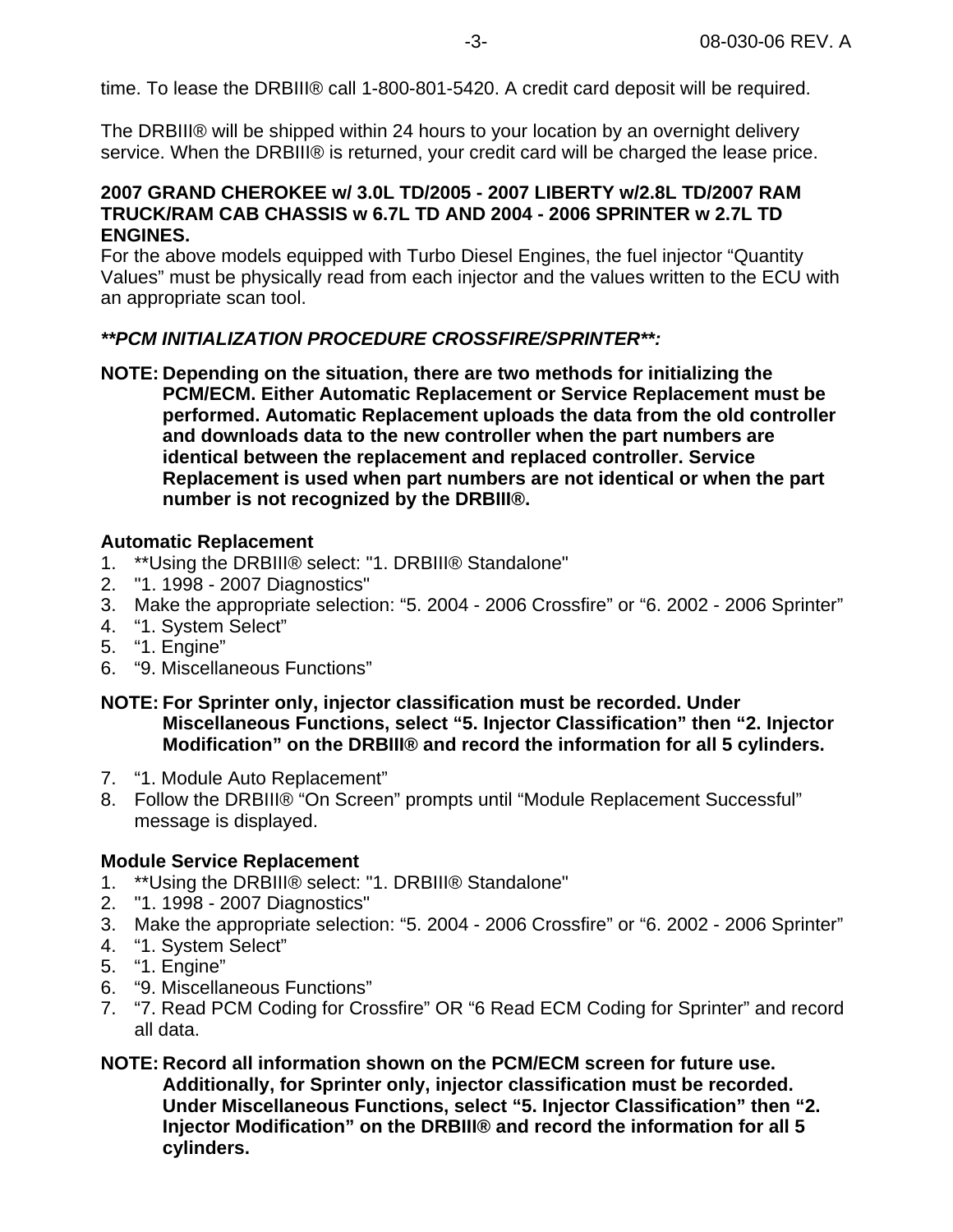time. To lease the DRBIII® call 1-800-801-5420. A credit card deposit will be required.

The DRBIII® will be shipped within 24 hours to your location by an overnight delivery service. When the DRBIII® is returned, your credit card will be charged the lease price.

#### **2007 GRAND CHEROKEE w/ 3.0L TD/2005 - 2007 LIBERTY w/2.8L TD/2007 RAM TRUCK/RAM CAB CHASSIS w 6.7L TD AND 2004 - 2006 SPRINTER w 2.7L TD ENGINES.**

For the above models equipped with Turbo Diesel Engines, the fuel injector "Quantity Values" must be physically read from each injector and the values written to the ECU with an appropriate scan tool.

#### **\*\*PCM INITIALIZATION PROCEDURE CROSSFIRE/SPRINTER\*\*:**

**NOTE: Depending on the situation, there are two methods for initializing the PCM/ECM. Either Automatic Replacement or Service Replacement must be performed. Automatic Replacement uploads the data from the old controller and downloads data to the new controller when the part numbers are identical between the replacement and replaced controller. Service Replacement is used when part numbers are not identical or when the part number is not recognized by the DRBIII®.**

#### **Automatic Replacement**

- 1. \*\*Using the DRBIII® select: "1. DRBIII® Standalone"<br>2. "1. 1998 2007 Diagnostics"
- 2. "1. 1998 2007 Diagnostics"
- 3. Make the appropriate selection: "5. 2004 2006 Crossfire" or "6. 2002 2006 Sprinter"
- 4. "1. System Select"
- 5. "1. Engine"
- 6. "9. Miscellaneous Functions"
- **NOTE: For Sprinter only, injector classification must be recorded. Under Miscellaneous Functions, select "5. Injector Classification" then "2. Injector Modification" on the DRBIII® and record the information for all 5 cylinders.**
- 7. "1. Module Auto Replacement"
- 8. Follow the DRBIII® "On Screen" prompts until "Module Replacement Successful" message is displayed.

#### **Module Service Replacement**

- 1. \*\*Using the DRBIII® select: "1. DRBIII® Standalone"
- 2. "1. 1998 2007 Diagnostics"
- 3. Make the appropriate selection: "5. 2004 2006 Crossfire" or "6. 2002 2006 Sprinter"
- 4. "1. System Select"
- 5. "1. Engine"
- 6. "9. Miscellaneous Functions"
- 7. "7. Read PCM Coding for Crossfire" OR "6 Read ECM Coding for Sprinter" and record all data.
- **NOTE: Record all information shown on the PCM/ECM screen for future use. Additionally, for Sprinter only, injector classification must be recorded. Under Miscellaneous Functions, select "5. Injector Classification" then "2. Injector Modification" on the DRBIII® and record the information for all 5 cylinders.**